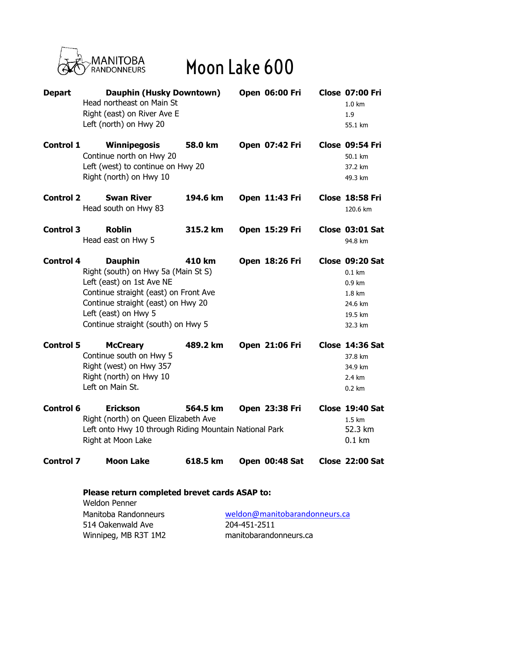

## Moon Lake 600

| <b>Depart</b>    | Dauphin (Husky Downtown)<br>Head northeast on Main St<br>Right (east) on River Ave E<br>Left (north) on Hwy 20                                                                                                                  |          | <b>Open 06:00 Fri</b> | <b>Close 07:00 Fri</b><br>1.0 km<br>1.9<br>55.1 km                                                 |
|------------------|---------------------------------------------------------------------------------------------------------------------------------------------------------------------------------------------------------------------------------|----------|-----------------------|----------------------------------------------------------------------------------------------------|
| <b>Control 1</b> | Winnipegosis<br>Continue north on Hwy 20<br>Left (west) to continue on Hwy 20<br>Right (north) on Hwy 10                                                                                                                        | 58.0 km  | Open 07:42 Fri        | <b>Close 09:54 Fri</b><br>50.1 km<br>37.2 km<br>49.3 km                                            |
| <b>Control 2</b> | <b>Swan River</b><br>Head south on Hwy 83                                                                                                                                                                                       | 194.6 km | Open 11:43 Fri        | <b>Close 18:58 Fri</b><br>120.6 km                                                                 |
| <b>Control 3</b> | <b>Roblin</b><br>Head east on Hwy 5                                                                                                                                                                                             | 315.2 km | Open 15:29 Fri        | Close 03:01 Sat<br>94.8 km                                                                         |
| <b>Control 4</b> | <b>Dauphin</b><br>Right (south) on Hwy 5a (Main St S)<br>Left (east) on 1st Ave NE<br>Continue straight (east) on Front Ave<br>Continue straight (east) on Hwy 20<br>Left (east) on Hwy 5<br>Continue straight (south) on Hwy 5 | 410 km   | Open 18:26 Fri        | Close 09:20 Sat<br>$0.1 \text{ km}$<br>$0.9 \text{ km}$<br>1.8 km<br>24.6 km<br>19.5 km<br>32.3 km |
| <b>Control 5</b> | <b>McCreary</b><br>Continue south on Hwy 5<br>Right (west) on Hwy 357<br>Right (north) on Hwy 10<br>Left on Main St.                                                                                                            | 489.2 km | Open 21:06 Fri        | Close 14:36 Sat<br>37.8 km<br>34.9 km<br>$2.4 \text{ km}$<br>$0.2 \text{ km}$                      |
| Control 6        | <b>Erickson</b><br>Right (north) on Queen Elizabeth Ave<br>Left onto Hwy 10 through Riding Mountain National Park<br>Right at Moon Lake                                                                                         | 564.5 km | Open 23:38 Fri        | Close 19:40 Sat<br>1.5 km<br>52.3 km<br>$0.1 \text{ km}$                                           |
| <b>Control 7</b> | <b>Moon Lake</b>                                                                                                                                                                                                                | 618.5 km | Open 00:48 Sat        | <b>Close 22:00 Sat</b>                                                                             |

## **Please return completed brevet cards ASAP to:** Weldon Penner

| Manitoba Randonneurs | weldon@manitobarandonneurs.ca |  |  |
|----------------------|-------------------------------|--|--|
| 514 Oakenwald Ave    | 204-451-2511                  |  |  |
| Winnipeg, MB R3T 1M2 | manitobarandonneurs.ca        |  |  |